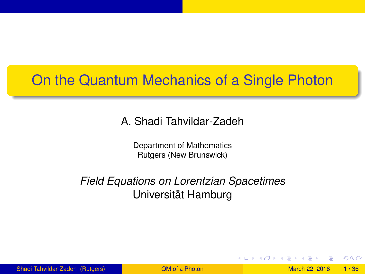# <span id="page-0-1"></span>On the Quantum Mechanics of a Single Photon

#### A. Shadi Tahvildar-Zadeh

Department of Mathematics Rutgers (New Brunswick)

#### *Field Equations on Lorentzian Spacetimes* Universität Hamburg

Shadi Tahvildar-Zadeh (Rutgers) **March 22, 2018 1/36** a Photon March 22, 2018 1/36

<span id="page-0-0"></span> $\Omega$ 

イロト イ押ト イヨト イヨト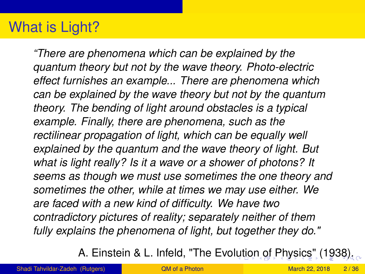# What is Light?

*"There are phenomena which can be explained by the quantum theory but not by the wave theory. Photo-electric effect furnishes an example... There are phenomena which can be explained by the wave theory but not by the quantum theory. The bending of light around obstacles is a typical example. Finally, there are phenomena, such as the rectilinear propagation of light, which can be equally well explained by the quantum and the wave theory of light. But what is light really? Is it a wave or a shower of photons? It seems as though we must use sometimes the one theory and sometimes the other, while at times we may use either. We are faced with a new kind of difficulty. We have two contradictory pictures of reality; separately neither of them fully explains the phenomena of light, but together they do."*

<span id="page-1-0"></span>A. Einstein & L. Infeld, "The Evo[lut](#page-0-0)i[on](#page-2-0) [of](#page-1-0)[Ph](#page-0-0)[y](#page-2-0)[s](#page-3-0)[ics](#page-0-0)["](#page-2-0) [\(1](#page-0-0)[938](#page-0-1)).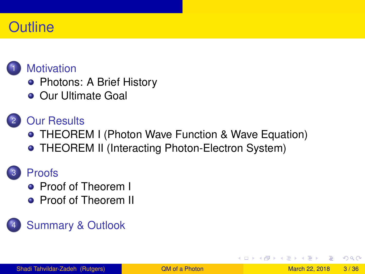#### **Outline**



#### **[Motivation](#page-3-0)**

- [Photons: A Brief History](#page-3-0)
- **[Our Ultimate Goal](#page-10-0)**

#### **[Our Results](#page-23-0)**

[THEOREM I \(Photon Wave Function & Wave Equation\)](#page-24-0) **• [THEOREM II \(Interacting Photon-Electron System\)](#page-28-0)** 

#### **[Proofs](#page-31-0)**

- **[Proof of Theorem I](#page-31-0)**
- **[Proof of Theorem II](#page-0-1)**

#### **[Summary & Outlook](#page-0-1)**

<span id="page-2-0"></span> $\Omega$ 

B K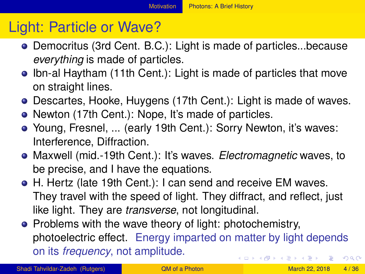# Light: Particle or Wave?

- Democritus (3rd Cent. B.C.): Light is made of particles...because *everything* is made of particles.
- Ibn-al Haytham (11th Cent.): Light is made of particles that move on straight lines.
- Descartes, Hooke, Huygens (17th Cent.): Light is made of waves.
- Newton (17th Cent.): Nope, It's made of particles.
- Young, Fresnel, ... (early 19th Cent.): Sorry Newton, it's waves: Interference, Diffraction.
- Maxwell (mid.-19th Cent.): It's waves. *Electromagnetic* waves, to be precise, and I have the equations.
- H. Hertz (late 19th Cent.): I can send and receive EM waves. They travel with the speed of light. They diffract, and reflect, just like light. They are *transverse*, not longitudinal.
- <span id="page-3-0"></span>• Problems with the wave theory of light: photochemistry, photoelectric effect. Energy imparted on matter by light depends on its *frequency*, not amplitude. イロト イ押 トイラト イラト - 3  $\Omega$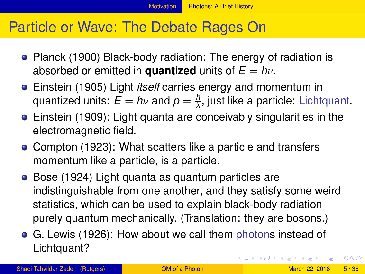#### Particle or Wave: The Debate Rages On

- Planck (1900) Black-body radiation: The energy of radiation is absorbed or emitted in **quantized** units of  $E = h\nu$ .
- Einstein (1905) Light *itself* carries energy and momentum in quantized units:  $E = h\nu$  and  $p = \frac{h}{\lambda}$ , just like a particle: Lichtquant.
- Einstein (1909): Light quanta are conceivably singularities in the electromagnetic field.
- Compton (1923): What scatters like a particle and transfers momentum like a particle, is a particle.
- Bose (1924) Light quanta as quantum particles are indistinguishable from one another, and they satisfy some weird statistics, which can be used to explain black-body radiation purely quantum mechanically. (Translation: they are bosons.)
- <span id="page-4-0"></span>G. Lewis (1926): How about we call them photons instead of Lichtquant? メロメメ 御きメ 重き メ唐 メー 重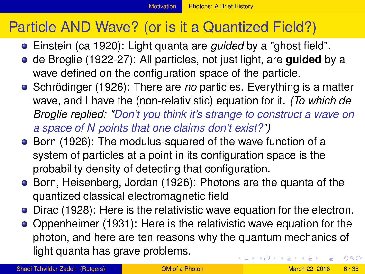# Particle AND Wave? (or is it a Quantized Field?)

- Einstein (ca 1920): Light quanta are *guided* by a "ghost field".
- de Broglie (1922-27): All particles, not just light, are **guided** by a wave defined on the configuration space of the particle.
- Schrödinger (1926): There are *no* particles. Everything is a matter wave, and I have the (non-relativistic) equation for it. *(To which de Broglie replied: "Don't you think it's strange to construct a wave on a space of N points that one claims don't exist?")*
- Born (1926): The modulus-squared of the wave function of a system of particles at a point in its configuration space is the probability density of detecting that configuration.
- Born, Heisenberg, Jordan (1926): Photons are the quanta of the quantized classical electromagnetic field
- Dirac (1928): Here is the relativistic wave equation for the electron.
- Oppenheimer (1931): Here is the relativistic wave equation for the photon, and here are ten reasons why the quantum mechanics of light quanta has grave problems. イロト イ押 トイラト イラト  $\Omega$

Shadi Tahvildar-Zadeh (Rutgers) **March 22, 2018** 6 / 36

<span id="page-5-0"></span>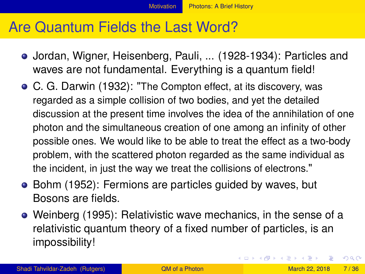# Are Quantum Fields the Last Word?

- Jordan, Wigner, Heisenberg, Pauli, ... (1928-1934): Particles and waves are not fundamental. Everything is a quantum field!
- C. G. Darwin (1932): "The Compton effect, at its discovery, was regarded as a simple collision of two bodies, and yet the detailed discussion at the present time involves the idea of the annihilation of one photon and the simultaneous creation of one among an infinity of other possible ones. We would like to be able to treat the effect as a two-body problem, with the scattered photon regarded as the same individual as the incident, in just the way we treat the collisions of electrons."
- Bohm (1952): Fermions are particles guided by waves, but Bosons are fields.
- Weinberg (1995): Relativistic wave mechanics, in the sense of a relativistic quantum theory of a fixed number of particles, is an impossibility!

в

<span id="page-6-0"></span> $\Omega$ 

イロト イ押 トイラト イラト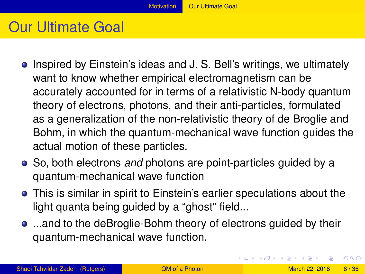# Our Ultimate Goal

- Inspired by Einstein's ideas and J. S. Bell's writings, we ultimately want to know whether empirical electromagnetism can be accurately accounted for in terms of a relativistic N-body quantum theory of electrons, photons, and their anti-particles, formulated as a generalization of the non-relativistic theory of de Broglie and Bohm, in which the quantum-mechanical wave function guides the actual motion of these particles.
- So, both electrons *and* photons are point-particles guided by a quantum-mechanical wave function
- This is similar in spirit to Einstein's earlier speculations about the light quanta being guided by a "ghost" field...
- ...and to the deBroglie-Bohm theory of electrons guided by their quantum-mechanical wave function.

<span id="page-7-0"></span> $\Omega$ 

K ロ ▶ K 御 ▶ K 君 ▶ K 君 ▶ ○ 君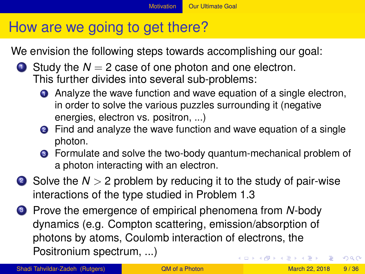#### <span id="page-8-0"></span>[Motivation](#page-8-0) **[Our Ultimate Goal](#page-8-0)**

# How are we going to get there?

We envision the following steps towards accomplishing our goal:

- **1** Study the  $N = 2$  case of one photon and one electron. This further divides into several sub-problems:
	- **1** Analyze the wave function and wave equation of a single electron, in order to solve the various puzzles surrounding it (negative energies, electron vs. positron, ...)
	- **2** Find and analyze the wave function and wave equation of a single photon.
	- <sup>3</sup> Formulate and solve the two-body quantum-mechanical problem of a photon interacting with an electron.
- <sup>2</sup> Solve the *N* > 2 problem by reducing it to the study of pair-wise interactions of the type studied in Problem 1.3
- <sup>3</sup> Prove the emergence of empirical phenomena from *N*-body dynamics (e.g. Compton scattering, emission/absorption of photons by atoms, Coulomb interaction of electrons, the Positronium spectrum, ...)  $(0.125 \times 10^{-14} \text{ m}) \times 10^{-14} \text{ m}$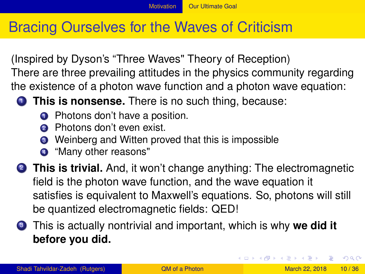# Bracing Ourselves for the Waves of Criticism

(Inspired by Dyson's "Three Waves" Theory of Reception) There are three prevailing attitudes in the physics community regarding the existence of a photon wave function and a photon wave equation:

- **1** This is nonsense. There is no such thing, because:
	- **1** Photons don't have a position.
	- Photons don't even exist.
	- <sup>3</sup> Weinberg and Witten proved that this is impossible
	- <sup>4</sup> "Many other reasons"
- **2 This is trivial.** And, it won't change anything: The electromagnetic field is the photon wave function, and the wave equation it satisfies is equivalent to Maxwell's equations. So, photons will still be quantized electromagnetic fields: QED!
- <sup>3</sup> This is actually nontrivial and important, which is why **we did it before you did.**

<span id="page-9-0"></span> $\Omega$ 

イロトメ 御 トメ 君 トメ 君 トー 君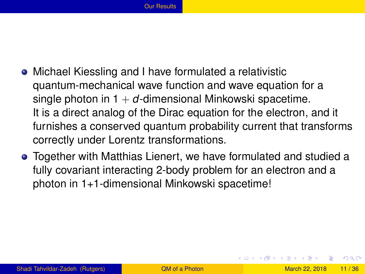- Michael Kiessling and I have formulated a relativistic quantum-mechanical wave function and wave equation for a single photon in  $1 + d$ -dimensional Minkowski spacetime. It is a direct analog of the Dirac equation for the electron, and it furnishes a conserved quantum probability current that transforms correctly under Lorentz transformations.
- Together with Matthias Lienert, we have formulated and studied a fully covariant interacting 2-body problem for an electron and a photon in 1+1-dimensional Minkowski spacetime!

<span id="page-10-0"></span> $\Omega$ 

イロト イ押ト イヨト イヨト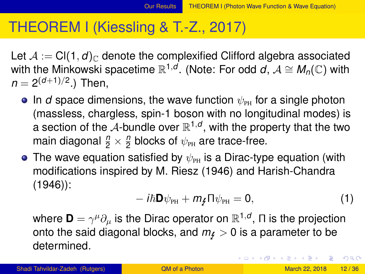#### THEOREM I (Kiessling & T.-Z., 2017)

Let  $A := Cl(1, d)_{\mathbb{C}}$  denote the complexified Clifford algebra associated with the Minkowski spacetime  $\mathbb{R}^{1,d}$ . (Note: For odd *d*,  $\mathcal{A}\cong \mathcal{M}_\eta(\mathbb{C})$  with  $n = 2^{(d+1)/2}$ .) Then,

- **In** *d* space dimensions, the wave function  $\psi_{\text{PH}}$  for a single photon (massless, chargless, spin-1 boson with no longitudinal modes) is a section of the  ${\mathcal A}$ -bundle over  ${\mathbb R}^{1,d},$  with the property that the two main diagonal  $\frac{n}{2} \times \frac{n}{2}$  $\frac{\eta}{2}$  blocks of  $\psi_\text{\tiny PH}$  are trace-free.
- The wave equation satisfied by  $\psi_{\text{PH}}$  is a Dirac-type equation (with modifications inspired by M. Riesz (1946) and Harish-Chandra (1946)):

<span id="page-11-1"></span>
$$
-i\hbar\mathbf{D}\psi_{\rm PH} + m_{\xi}\Pi\psi_{\rm PH} = 0, \qquad (1)
$$

where  $\mathbf{D}=\gamma^\mu\partial_\mu$  is the Dirac operator on  $\mathbb{R}^{1,d},$   $\Pi$  is the projection onto the said diagonal blocks, and  $m_f > 0$  is a parameter to be determined.

<span id="page-11-0"></span> $\Omega$ 

 $(0.123 \times 10^{-14} \text{ m}) \times 10^{-14} \text{ m} \times 10^{-14} \text{ m}$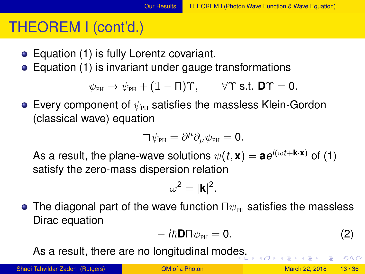# THEOREM I (cont'd.)

- Equation [\(1\)](#page-11-1) is fully Lorentz covariant.
- Equation [\(1\)](#page-11-1) is invariant under gauge transformations

 $\psi_{\text{PH}} \rightarrow \psi_{\text{PH}} + (1 - \Pi)\Upsilon$ ,  $\forall \Upsilon$  s.t. **D** $\Upsilon = 0$ .

 $\bullet$  Every component of  $\psi_{\text{PH}}$  satisfies the massless Klein-Gordon (classical wave) equation

$$
\Box \psi_{\rm PH} = \partial^{\mu} \partial_{\mu} \psi_{\rm PH} = \mathbf{0}.
$$

As a result, the plane-wave solutions  $\psi(t, \mathbf{x}) = \mathbf{a} e^{i(\omega t + \mathbf{k} \cdot \mathbf{x})}$  of [\(1\)](#page-11-1) satisfy the zero-mass dispersion relation

$$
\omega^2=|\textbf{k}|^2.
$$

 $\bullet$  The diagonal part of the wave function  $\Pi\psi_{\rm\scriptscriptstyle PH}$  satisfies the massless Dirac equation

<span id="page-12-1"></span><span id="page-12-0"></span>
$$
-i\hbar\mathbf{D}\Pi\psi_{\rm PH}=0.\tag{2}
$$

As a r[es](#page-11-0)ult, there are no longitudinal modes.

Shadi Tahvildar-Zadeh (Rutgers) **[QM of a Photon](#page-0-0) March 22, 2018** 13/36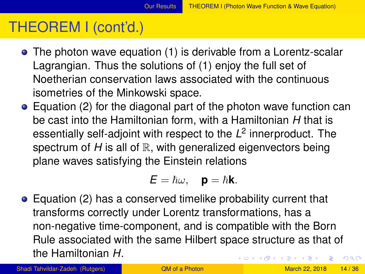# THEOREM I (cont'd.)

- The photon wave equation [\(1\)](#page-11-1) is derivable from a Lorentz-scalar Lagrangian. Thus the solutions of [\(1\)](#page-11-1) enjoy the full set of Noetherian conservation laws associated with the continuous isometries of the Minkowski space.
- Equation [\(2\)](#page-12-1) for the diagonal part of the photon wave function can be cast into the Hamiltonian form, with a Hamiltonian *H* that is essentially self-adjoint with respect to the *L* 2 innerproduct. The spectrum of  $H$  is all of  $\mathbb R$ , with generalized eigenvectors being plane waves satisfying the Einstein relations

<span id="page-13-0"></span>
$$
\pmb{E}=\hbar\omega,\quad \mathbf{p}=\hbar\mathbf{k}.
$$

Equation [\(2\)](#page-12-1) has a conserved timelike probability current that transforms correctly under Lorentz transformations, has a non-negative time-component, and is compatible with the Born Rule associated with the same Hilbert space structure as that of the Hamiltonian *H*. イロト イ押 トイラ トイラトー  $\Omega$ 

Shadi Tahvildar-Zadeh (Rutgers) [QM of a Photon](#page-0-0) March 22, 2018 14/36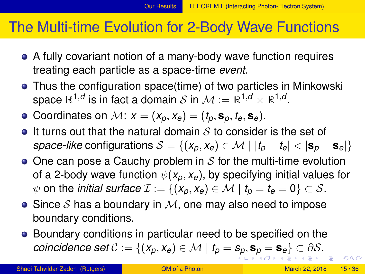#### The Multi-time Evolution for 2-Body Wave Functions

- A fully covariant notion of a many-body wave function requires treating each particle as a space-time *event.*
- Thus the configuration space(time) of two particles in Minkowski space  $\mathbb{R}^{1,d}$  is in fact a domain  $\mathcal{S}$  in  $\mathcal{M}:=\mathbb{R}^{1,d}\times\mathbb{R}^{1,d}.$
- Coordinates on  $M: x = (x_p, x_e) = (t_p, \mathbf{s}_p, t_e, \mathbf{s}_e).$
- $\bullet$  It turns out that the natural domain S to consider is the set of *space-like* configurations  $S = \{(x_p, x_e) \in \mathcal{M} \mid |t_p - t_e| < |\mathbf{s}_p - \mathbf{s}_e|\}$
- $\bullet$  One can pose a Cauchy problem in S for the multi-time evolution of a 2-body wave function  $\psi(x_0, x_0)$ , by specifying initial values for  $\psi$  on the *initial surface*  $\mathcal{I} := \{ (x_p, x_e) \in \mathcal{M} \mid t_p = t_e = 0 \} \subset \overline{\mathcal{S}}$ .
- Since S has a boundary in  $M$ , one may also need to impose boundary conditions.
- <span id="page-14-0"></span>Boundary conditions in particular need to be specified on the *coincidence [s](#page-23-0)[e](#page-10-0)t*  $\mathcal{C} := \{ (x_p, x_e) \in \mathcal{M} \mid t_p = s_p, s_p = s_e \} \subset \partial \mathcal{S}.$  $\mathcal{C} := \{ (x_p, x_e) \in \mathcal{M} \mid t_p = s_p, s_p = s_e \} \subset \partial \mathcal{S}.$  $\mathcal{C} := \{ (x_p, x_e) \in \mathcal{M} \mid t_p = s_p, s_p = s_e \} \subset \partial \mathcal{S}.$  $\mathcal{C} := \{ (x_p, x_e) \in \mathcal{M} \mid t_p = s_p, s_p = s_e \} \subset \partial \mathcal{S}.$  $\mathcal{C} := \{ (x_p, x_e) \in \mathcal{M} \mid t_p = s_p, s_p = s_e \} \subset \partial \mathcal{S}.$  $\mathcal{C} := \{ (x_p, x_e) \in \mathcal{M} \mid t_p = s_p, s_p = s_e \} \subset \partial \mathcal{S}.$  $\mathcal{C} := \{ (x_p, x_e) \in \mathcal{M} \mid t_p = s_p, s_p = s_e \} \subset \partial \mathcal{S}.$  $\mathcal{C} := \{ (x_p, x_e) \in \mathcal{M} \mid t_p = s_p, s_p = s_e \} \subset \partial \mathcal{S}.$  $\mathcal{C} := \{ (x_p, x_e) \in \mathcal{M} \mid t_p = s_p, s_p = s_e \} \subset \partial \mathcal{S}.$  $\mathcal{C} := \{ (x_p, x_e) \in \mathcal{M} \mid t_p = s_p, s_p = s_e \} \subset \partial \mathcal{S}.$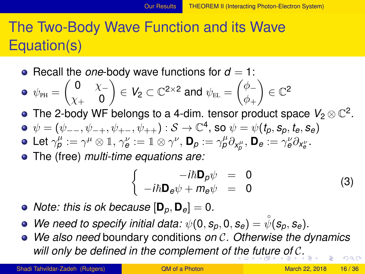# The Two-Body Wave Function and its Wave Equation(s)

• Recall the *one*-body wave functions for  $d = 1$ :

$$
\bullet \ \ \psi_{\text{PH}} = \begin{pmatrix} 0 & \chi_- \\ \chi_+ & 0 \end{pmatrix} \in V_2 \subset \mathbb{C}^{2 \times 2} \text{ and } \psi_{\text{EL}} = \begin{pmatrix} \phi_- \\ \phi_+ \end{pmatrix} \in \mathbb{C}^2
$$

- The 2-body WF belongs to a 4-dim. tensor product space  $\mathit{V}_2 \otimes \mathbb{C}^2.$
- $\psi = (\psi_{--}, \psi_{-+}, \psi_{+-}, \psi_{++}) : \mathcal{S} \to \mathbb{C}^4$ , so  $\psi = \psi(t_p, s_p, t_e, s_e)$
- $\mathsf{Let} \ \gamma_{\boldsymbol{\rho}}^{\mu}:=\gamma^{\mu}\otimes \mathbb{1}, \ \gamma_{\boldsymbol{\theta}}^{\nu}:=\mathbb{1}\otimes \gamma^{\nu}, \ \mathsf{D}_{\boldsymbol{\rho}}:=\gamma_{\boldsymbol{\rho}}^{\mu}\partial_{\chi_{\boldsymbol{\rho}}^{\mu}}, \ \mathsf{D}_{\boldsymbol{\theta}}:=\gamma_{\boldsymbol{\theta}}^{\nu}\partial_{\chi_{\boldsymbol{\theta}}^{\nu}}.$
- The (free) *multi-time equations are:*

<span id="page-15-1"></span><span id="page-15-0"></span>
$$
\begin{cases}\n-i\hbar \mathbf{D}_{\rho}\psi &= 0\\ \n-i\hbar \mathbf{D}_{e}\psi + m_{e}\psi &= 0\n\end{cases}
$$
\n(3)

- *Note: this is ok because*  $[\mathbf{D}_p, \mathbf{D}_e] = 0$ *.*
- We need to specify initial data:  $\psi(0, s_p, 0, s_e) = \mathring{\psi}(s_p, s_e)$ .
- *We also need* boundary conditions *on* C*. Otherwise the dynamics will only be defined in the complement of [the](#page-14-0) [f](#page-16-0)[u](#page-13-0)[tu](#page-14-0)[r](#page-22-0)[e](#page-23-0)[o](#page-10-0)[f](#page-22-0)* [C](#page-23-0)*[.](#page-2-0)*  $\Omega$

Shadi Tahvildar-Zadeh (Rutgers) **[QM of a Photon](#page-0-0) March 22, 2018** 16 / 36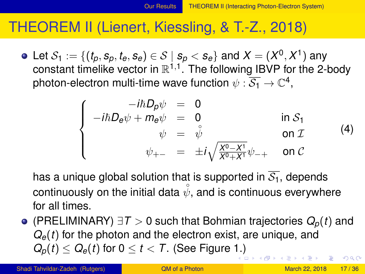#### THEOREM II (Lienert, Kiessling, & T.-Z., 2018)

Let  $\mathcal{S}_1:=\{(t_p, s_p, t_e, s_e)\in \mathcal{S}\mid s_p < s_e\}$  and  $\mathcal{X}=(X^0, X^1)$  any constant timelike vector in  $\mathbb{R}^{1,1}$ . The following IBVP for the 2-body photon-electron multi-time wave function  $\psi: \overline{\mathcal{S}_1} \rightarrow \mathbb{C}^4,$ 

<span id="page-16-0"></span>
$$
\begin{cases}\n-i\hbar D_{\rho}\psi &= 0 \\
-i\hbar D_{e}\psi + m_{e}\psi &= 0 \\
\psi &= \psi \\
\psi_{+-} &= \pm i\sqrt{\frac{X^{0}-X^{1}}{X^{0}+X^{1}}}\psi_{-+} & \text{on } C\n\end{cases}
$$
\n(4)

has a unique global solution that is supported in  $\overline{S_1}$ , depends continuously on the initial data  $\mathring{\psi},$  and is continuous everywhere for all times.

(PRELIMINARY) ∃*T* > 0 such that Bohmian trajectories *Qp*(*t*) and *Qe*(*t*) for the photon and the electron exist, are unique, and  $Q_p(t) \leq Q_e(t)$  for  $0 \leq t < T$ . (See Figure [1.\)](#page-15-0)  $\Omega$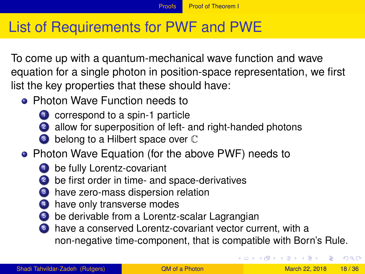# List of Requirements for PWF and PWE

To come up with a quantum-mechanical wave function and wave equation for a single photon in position-space representation, we first list the key properties that these should have:

- **Photon Wave Function needs to** 
	- **1** correspond to a spin-1 particle
	- 2 allow for superposition of left- and right-handed photons
	- **3** belong to a Hilbert space over  $\mathbb C$
- Photon Wave Equation (for the above PWF) needs to
	- <sup>1</sup> be fully Lorentz-covariant
		- be first order in time- and space-derivatives
	- have zero-mass dispersion relation
	- have only transverse modes
	- be derivable from a Lorentz-scalar Lagrangian
	- have a conserved Lorentz-covariant vector current, with a non-negative time-component, that is compatible with Born's Rule.

<span id="page-17-0"></span> $\Omega$ 

イロト イ押 トイラト イラト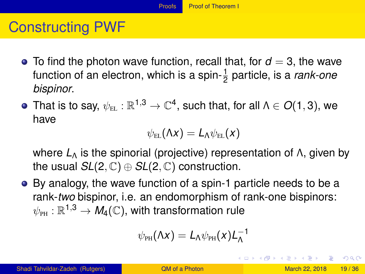# Constructing PWF

- $\bullet$  To find the photon wave function, recall that, for  $d = 3$ , the wave function of an electron, which is a spin- $\frac{1}{2}$  particle, is a *rank-one bispinor*.
- That is to say,  $\psi_{\text{\tiny EL}} : \mathbb{R}^{1,3} \to \mathbb{C}^4,$  such that, for all  $\Lambda \in O(1,3),$  we have

$$
\psi_{\rm EL}(\Lambda x) = L_{\Lambda} \psi_{\rm EL}(x)
$$

where *L*<sup>Λ</sup> is the spinorial (projective) representation of Λ, given by the usual  $SL(2,\mathbb{C})\oplus SL(2,\mathbb{C})$  construction.

By analogy, the wave function of a spin-1 particle needs to be a rank-*two* bispinor, i.e. an endomorphism of rank-one bispinors:  $\psi_\text{\tiny PH}:\mathbb{R}^{1,3}\rightarrow\mathit{M}_{4}(\mathbb{C}),$  with transformation rule

$$
\psi_{PH}(\Lambda x)=L_{\Lambda}\psi_{PH}(x)L_{\Lambda}^{-1}
$$

<span id="page-18-0"></span> $\Omega$ 

 $(1,1)$   $(1,1)$   $(1,1)$   $(1,1)$   $(1,1)$   $(1,1)$   $(1,1)$   $(1,1)$   $(1,1)$   $(1,1)$   $(1,1)$   $(1,1)$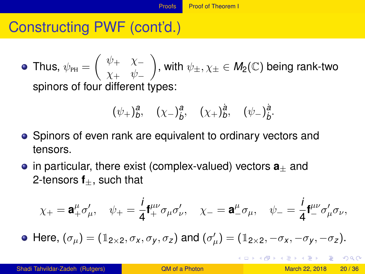# Constructing PWF (cont'd.)

Thus,  $\psi_{\texttt{PH}}=\left(\begin{array}{cc} \psi_{+} & \chi_{-}\ \chi_{-} & \psi_{+} \end{array}\right)$  $\chi_+$   $\psi_-$ ), with  $\psi_{\pm}, \chi_{\pm} \in M_2(\mathbb{C})$  being rank-two spinors of four different types:

$$
(\psi_{+})_{b}^{a}
$$
,  $(\chi_{-})_{b}^{a}$ ,  $(\chi_{+})_{b}^{a}$ ,  $(\psi_{-})_{b}^{a}$ .

- Spinors of even rank are equivalent to ordinary vectors and tensors.
- **•** in particular, there exist (complex-valued) vectors  $a_+$  and 2-tensors  $f_{+}$ , such that

$$
\chi_+ = \mathbf{a}_+^{\mu} \sigma'_{\mu}, \quad \psi_+ = \frac{i}{4} \mathbf{f}_+^{\mu \nu} \sigma_{\mu} \sigma'_{\nu}, \quad \chi_- = \mathbf{a}_-^{\mu} \sigma_{\mu}, \quad \psi_- = \frac{i}{4} \mathbf{f}_-^{\mu \nu} \sigma'_{\mu} \sigma_{\nu},
$$

Here,  $(\sigma_{\mu}) = (\mathbb{1}_{2 \times 2}, \sigma_x, \sigma_y, \sigma_z)$  and  $(\sigma'_{\mu}) = (\mathbb{1}_{2 \times 2}, -\sigma_x, -\sigma_y, -\sigma_z)$ .

<span id="page-19-0"></span> $\Omega$ 

イロト イ押 トイヨ トイヨ トーヨー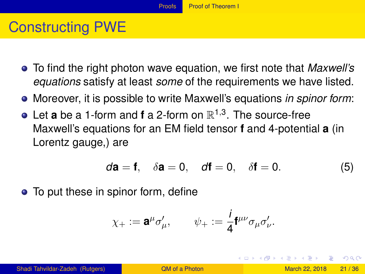# Constructing PWE

- To find the right photon wave equation, we first note that *Maxwell's equations* satisfy at least *some* of the requirements we have listed.
- Moreover, it is possible to write Maxwell's equations *in spinor form*:
- Let **a** be a 1-form and **f** a 2-form on  $\mathbb{R}^{1,3}$ . The source-free Maxwell's equations for an EM field tensor **f** and 4-potential **a** (in Lorentz gauge,) are

<span id="page-20-1"></span>
$$
d\mathbf{a} = \mathbf{f}, \quad \delta \mathbf{a} = 0, \quad d\mathbf{f} = 0, \quad \delta \mathbf{f} = 0. \tag{5}
$$

• To put these in spinor form, define

$$
\chi_+ := \mathbf{a}^\mu \sigma'_\mu, \qquad \psi_+ := \frac{i}{4} \mathbf{f}^{\mu\nu} \sigma_\mu \sigma'_\nu.
$$

<span id="page-20-0"></span> $\Omega$ 

イロト イ押 トイラト イラト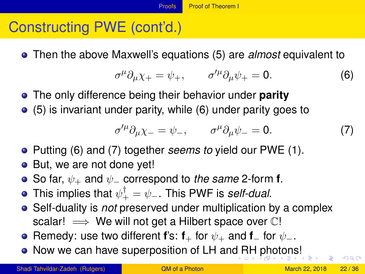# Constructing PWE (cont'd.)

Then the above Maxwell's equations [\(5\)](#page-20-1) are *almost* equivalent to

<span id="page-21-1"></span>
$$
\sigma^{\mu}\partial_{\mu}\chi_{+}=\psi_{+},\qquad \sigma^{\prime\mu}\partial_{\mu}\psi_{+}=0.\tag{6}
$$

- The only difference being their behavior under **parity**
- [\(5\)](#page-20-1) is invariant under parity, while [\(6\)](#page-21-1) under parity goes to

<span id="page-21-2"></span><span id="page-21-0"></span>
$$
\sigma^{\prime \mu} \partial_{\mu} \chi_{-} = \psi_{-}, \qquad \sigma^{\mu} \partial_{\mu} \psi_{-} = 0. \tag{7}
$$

- Putting [\(6\)](#page-21-1) and [\(7\)](#page-21-2) together *seems to* yield our PWE [\(1\)](#page-11-1).
- But, we are not done yet!
- **•** So far,  $\psi_+$  and  $\psi_-$  correspond to *the same* 2-form **f**.
- This implies that  $\psi_+^\dagger = \psi_-$ . This PWF is *self-dual*.
- Self-duality is *not* preserved under multiplication by a complex scalar!  $\implies$  We will not get a Hilbert space over  $\mathbb{C}!$
- **•** Remedy: use two different **f**'s: **f**<sub>+</sub> for  $\psi$ <sub>+</sub> and **f**<sub>−</sub> for  $\psi$ <sub>−</sub>.
- Now we can have superposition of LH an[d R](#page-20-0)[H](#page-22-0)[p](#page-14-0)[h](#page-22-0)[o](#page-10-0)[t](#page-9-0)o[n](#page-22-0)[s](#page-23-0)[!](#page-2-0)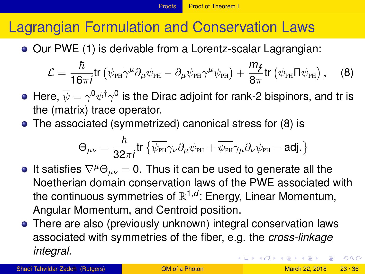# Lagrangian Formulation and Conservation Laws

Our PWE [\(1\)](#page-11-1) is derivable from a Lorentz-scalar Lagrangian:

<span id="page-22-1"></span>
$$
\mathcal{L} = \frac{\hbar}{16\pi i} \text{tr} \left( \overline{\psi}_{\text{PH}} \gamma^{\mu} \partial_{\mu} \psi_{\text{PH}} - \partial_{\mu} \overline{\psi}_{\text{PH}} \gamma^{\mu} \psi_{\text{PH}} \right) + \frac{m_{\cancel{f}}}{8\pi} \text{tr} \left( \overline{\psi}_{\text{PH}} \Pi \psi_{\text{PH}} \right), \quad (8)
$$

- Here,  $\overline{\psi}=\gamma^0\psi^\dagger\gamma^0$  is the Dirac adjoint for rank-2 bispinors, and tr is the (matrix) trace operator.
- The associated (symmetrized) canonical stress for [\(8\)](#page-22-1) is

<span id="page-22-0"></span>
$$
\Theta_{\mu\nu}=\frac{\hbar}{32\pi i}\mathrm{tr}\left\{\overline{\psi_{\scriptscriptstyle\mathrm{PH}}}\gamma_{\nu}\partial_{\mu}\psi_{\scriptscriptstyle\mathrm{PH}}+\overline{\psi_{\scriptscriptstyle\mathrm{PH}}}\gamma_{\mu}\partial_{\nu}\psi_{\scriptscriptstyle\mathrm{PH}}-\text{adj.}\right\}
$$

- $\bullet$  It satisfies  $\nabla^{\mu}\Theta_{\mu\nu} = 0$ . Thus it can be used to generate all the Noetherian domain conservation laws of the PWE associated with the continuous symmetries of  $\mathbb{R}^{1,d}$ : Energy, Linear Momentum, Angular Momentum, and Centroid position.
- There are also (previously unknown) integral conservation laws associated with symmetries of the fiber, e.g. the *cross-linkage integral.*  $(0.125 \times 10^{-14} \text{ m}) \times 10^{-14} \text{ m}$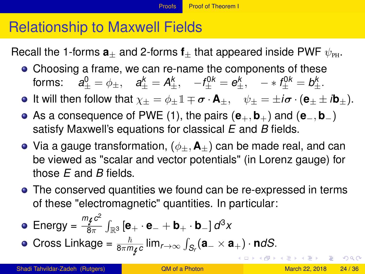# Relationship to Maxwell Fields

Recall the 1-forms  $a_{+}$  and 2-forms  $f_{+}$  that appeared inside PWF  $\psi_{\text{PH}}$ .

Choosing a frame, we can re-name the components of these forms:  $a^0_{\pm} = \phi_{\pm}, \quad a^k_{\pm} = A^k_{\pm}, \quad -f^{0k}_{\pm} = e^k_{\pm}, \quad -* f^{0k}_{\pm} = b^k_{\pm}.$ 

**•** It will then follow that  $\chi_+ = \phi_+ \mathbb{1} \mp \sigma \cdot \mathsf{A}_+$ ,  $\psi_+ = \pm i \sigma \cdot (\mathsf{e}_+ \pm i \mathsf{b}_+)$ .

- As a consequence of PWE [\(1\)](#page-11-1), the pairs (**e**+, **b**+) and (**e**−, **b**−) satisfy Maxwell's equations for classical *E* and *B* fields.
- Via a gauge transformation,  $(\phi_+, \mathbf{A}_+)$  can be made real, and can be viewed as "scalar and vector potentials" (in Lorenz gauge) for those *E* and *B* fields.
- The conserved quantities we found can be re-expressed in terms of these "electromagnetic" quantities. In particular:

• Energy = 
$$
\frac{m_{f}c^{2}}{8\pi} \int_{\mathbb{R}^{3}} [\mathbf{e}_{+} \cdot \mathbf{e}_{-} + \mathbf{b}_{+} \cdot \mathbf{b}_{-}] d^{3}x
$$

<span id="page-23-0"></span>• Cross Linkage = 
$$
\frac{\hbar}{8\pi m_{f}c}
$$
  $\lim_{r\to\infty} \int_{S_r} (a_{-} \times a_{+}) \cdot n dS$ .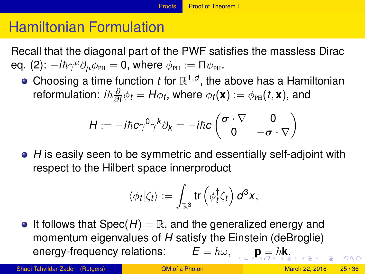# Hamiltonian Formulation

Recall that the diagonal part of the PWF satisfies the massless Dirac еq. [\(2\)](#page-12-1):  $-i\hbar \gamma^{\mu}\partial_{\mu}\phi_{\scriptscriptstyle{\text{PH}}} = 0$ , where  $\phi_{\scriptscriptstyle{\text{PH}}} := \Pi \psi_{\scriptscriptstyle{\text{PH}}}.$ 

Choosing a time function *t* for  $\mathbb{R}^{1,d}$ , the above has a Hamiltonian reformulation: *iħ* $\frac{\partial}{\partial \lambda}$  $\frac{\partial}{\partial t}\phi_t = H\phi_t$ , where  $\phi_t(\mathbf{x}) := \phi_{\texttt{PH}}(t,\mathbf{x})$ , and

$$
H:=-i\hbar c\gamma^0\gamma^k\partial_k=-i\hbar c\begin{pmatrix}\sigma\cdot\nabla&0\\0&-\sigma\cdot\nabla\end{pmatrix}
$$

*H* is easily seen to be symmetric and essentially self-adjoint with respect to the Hilbert space innerproduct

$$
\langle \phi_t | \zeta_t \rangle := \int_{\mathbb{R}^3} \text{tr} \left( \phi_t^{\dagger} \zeta_t \right) d^3x,
$$

 $\bullet$  It follows that  $Spec(H) = \mathbb{R}$ , and the generalized energy and momentum eigenvalues of *H* satisfy the Einstein (deBroglie) energy-frequency relations:  $E = \hbar \omega$  $E = \hbar \omega$  $E = \hbar \omega$ ,  $p = \hbar k$  $p = \hbar k$  $p = \hbar k$ [.](#page-27-0)

Shadi Tahvildar-Zadeh (Rutgers) **[QM of a Photon](#page-0-0) March 22, 2018** 25/36

<span id="page-24-0"></span> $000$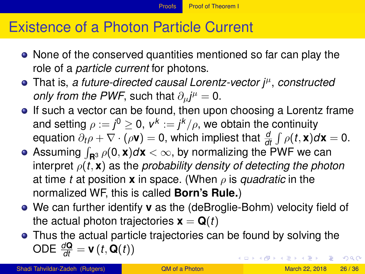# Existence of a Photon Particle Current

- None of the conserved quantities mentioned so far can play the role of a *particle current* for photons.
- That is, *a future-directed causal Lorentz-vector j*<sup>µ</sup> , *constructed only from the PWF*, such that  $\partial_{\mu}j^{\mu} = 0$ .
- If such a vector can be found, then upon choosing a Lorentz frame and setting  $\rho := j^0 \geq 0, \, v^k := j^k/\rho,$  we obtain the continuity equation  $\partial_t \rho + \nabla \cdot (\rho \mathbf{v}) = 0$ , which impliest that  $\frac{d}{dt} \int \rho(t, \mathbf{x}) d\mathbf{x} = 0$ .
- Assuming  $\int_{\mathbf{R}^3} \rho(\mathbf{0},\mathbf{x})d\mathbf{x} < \infty$ , by normalizing the PWF we can interpret  $\rho(t, \mathbf{x})$  as the *probability density of detecting the photon* at time *t* at position **x** in space. (When  $\rho$  is *quadratic* in the normalized WF, this is called **Born's Rule.**)
- We can further identify **v** as the (deBroglie-Bohm) velocity field of the actual photon trajectories  $\mathbf{x} = \mathbf{Q}(t)$
- <span id="page-25-0"></span>Thus the actual particle trajectories can be found by solving the ODE  $\frac{d\mathbf{Q}}{dt} = \mathbf{v}(t, \mathbf{Q}(t))$ イロト イ押ト イヨト イヨト ニヨ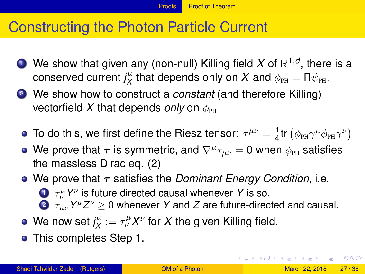#### Constructing the Photon Particle Current

- $\bullet$  We show that given any (non-null) Killing field X of  $\mathbb{R}^{1,d},$  there is a conserved current  $j^{\mu}_X$  $\psi^{\mu}_{X}$  that depends only on  $X$  and  $\phi_\text{\tiny PH}=\Pi\psi_\text{\tiny PH}.$
- <sup>2</sup> We show how to construct a *constant* (and therefore Killing) vectorfield X that depends *only* on  $\phi_{\text{PH}}$ 
	- To do this, we first define the Riesz tensor:  $\tau^{\mu\nu}=\frac{1}{4}$  $\frac{1}{4}$ tr  $(\overline{\phi_{\scriptscriptstyle{\text{PH}}}} \gamma^{\mu} \phi_{\scriptscriptstyle{\text{PH}}} \gamma^{\nu})$
	- We prove that  $\bm{\tau}$  is symmetric, and  $\nabla^{\mu}\tau_{\mu\nu}=0$  when  $\phi_\text{\tiny{PH}}$  satisfies the massless Dirac eq. [\(2\)](#page-12-1)
	- We prove that  $\tau$  satisfies the *Dominant Energy Condition*, i.e. <sup>1</sup> τ µ <sup>ν</sup> *Y* ν is future directed causal whenever *Y* is so. 2  $\tau_{\mu\nu}$   $Y^{\mu}Z^{\nu} \geq 0$  whenever Y and Z are future-directed and causal.
	- We now set  $j_X^\mu$  $\chi^{\mu}_{X} := \tau^{\mu}_{\nu} X^{\nu}$  for  $X$  the given Killing field.
	- **•** This completes Step 1.

<span id="page-26-0"></span> $\Omega$ 

 $(1,1)$   $(1,1)$   $(1,1)$   $(1,1)$   $(1,1)$   $(1,1)$   $(1,1)$   $(1,1)$   $(1,1)$   $(1,1)$   $(1,1)$   $(1,1)$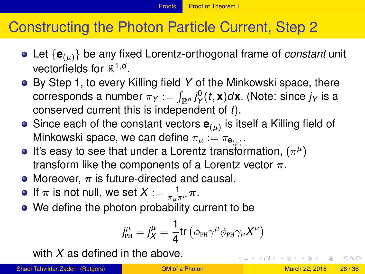# Constructing the Photon Particle Current, Step 2

- Let {**e**(µ)} be any fixed Lorentz-orthogonal frame of *constant* unit vectorfields for  $\mathbb{R}^{1,d}$ .
- By Step 1, to every Killing field *Y* of the Minkowski space, there  $\mathsf{corresponds}$  a number  $\pi_{\mathsf{Y}} := \int_{\mathbb{R}^d} j_{\mathsf{Y}}^0(t,\mathbf{x}) d\mathbf{x}$ . (Note: since  $j_{\mathsf{Y}}$  is a conserved current this is independent of *t*).
- Since each of the constant vectors  $\mathbf{e}_{(\mu)}$  is itself a Killing field of Minkowski space, we can define  $\pi_\mu:=\pi_{\mathsf{e}_{(\mu)}}.$
- It's easy to see that under a Lorentz transformation,  $(\pi^\mu)$ transform like the components of a Lorentz vector  $\pi$ .
- Moreover,  $\pi$  is future-directed and causal.
- If  $\pi$  is not null, we set  $X:=\frac{1}{\pi_\mu\pi^\mu}\pi$ .
- We define the photon probability current to be

$$
j^{\mu}_{\scriptscriptstyle\rm PH} = j^{\mu}_{X} = \frac{1}{4} \textrm{tr} \left( \overline{\phi_{\scriptscriptstyle\rm PH}} \gamma^{\mu} \phi_{\scriptscriptstyle\rm PH} \gamma_{\nu} X^{\nu} \right)
$$

with *X* as defined in the above.

Shadi Tahvildar-Zadeh (Rutgers) and GM of a Photon March 22, 2018 28/36

<span id="page-27-0"></span> $\Omega$ 

 $(0.123 \times 10^{-14} \text{ m}) \times 10^{-14} \text{ m} \times 10^{-14} \text{ m}$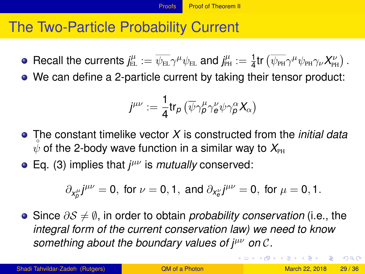#### The Two-Particle Probability Current

- Recall the currents  $j^\mu_{\rm EL}:=\overline{\psi_{\rm EL}}\gamma^\mu\psi_{\rm EL}$  and  $j^\mu_{\rm PH}:=\frac{1}{4}\text{tr}\left(\overline{\psi_{\rm PH}}\gamma^\mu\psi_{\rm PH}\gamma_\nu X^\nu_{\rm PH}\right)$  .
- We can define a 2-particle current by taking their tensor product:

$$
j^{\mu\nu}:=\frac{1}{4}\mathop{\rm tr}\nolimits_{\boldsymbol{\rho}}\left(\overline{\psi}\gamma_{\boldsymbol{\rho}}^{\mu}\gamma_{\boldsymbol{e}}^{\nu}\psi\gamma_{\boldsymbol{\rho}}^{\alpha}\boldsymbol{X}_{\alpha}\right)
$$

- The constant timelike vector *X* is constructed from the *initial data*  $\psi$  of the 2-body wave function in a similar way to  $X_{\text{PH}}$
- Eq. [\(3\)](#page-15-1) implies that *j* µν is *mutually* conserved:

$$
\partial_{x^{\mu}_{\rho}}j^{\mu\nu}=0, \text{ for }\nu=0,1, \text{ and } \partial_{x^{\nu}_{\theta}}j^{\mu\nu}=0, \text{ for }\mu=0,1.
$$

Since ∂S 6= ∅, in order to obtain *probability conservation* (i.e., the *integral form of the current conservation law) we need to know something about the boundary values of*  $*i*<sup>μν</sup>$  *on C.* 

<span id="page-28-0"></span> $\Omega$ 

( ロ ) ( *同* ) ( ヨ ) ( ヨ )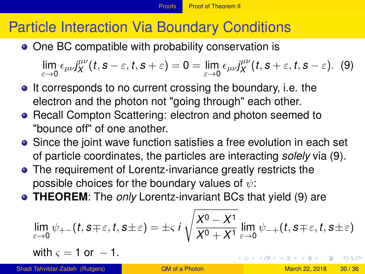# Particle Interaction Via Boundary Conditions

• One BC compatible with probability conservation is

<span id="page-29-1"></span> $\lim_{\varepsilon\to 0} \epsilon_{\mu\nu} j_X^{\mu\nu}$  $\int_X^{\mu\nu} (t,s-\varepsilon,t,s+\varepsilon) = 0 = \lim_{\varepsilon \to 0} \epsilon_{\mu\nu} j_X^{\mu\nu}$  $\chi^{\mu\nu}(t,s+\varepsilon,t,s-\varepsilon)$ . (9)

- It corresponds to no current crossing the boundary, i.e. the electron and the photon not "going through" each other.
- **Recall Compton Scattering: electron and photon seemed to** "bounce off" of one another.
- Since the joint wave function satisfies a free evolution in each set of particle coordinates, the particles are interacting *solely* via [\(9\)](#page-29-1).
- The requirement of Lorentz-invariance greatly restricts the possible choices for the boundary values of  $\psi$ :
- **THEOREM**: The *only* Lorentz-invariant BCs that yield [\(9\)](#page-29-1) are

$$
\lim_{\varepsilon \to 0} \psi_{+-}(t, s \mp \varepsilon, t, s \pm \varepsilon) = \pm \varsigma \, i \, \sqrt{\frac{X^0 - X^1}{X^0 + X^1}} \lim_{\varepsilon \to 0} \psi_{-+}(t, s \mp \varepsilon, t, s \pm \varepsilon)
$$

with  $\varsigma = 1$  or  $-1$ .

<span id="page-29-0"></span> $\Omega$ 

 $(0.125 \times 10^{-14} \text{ m}) \times 10^{-14} \text{ m}$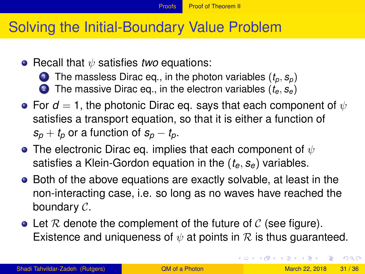#### Solving the Initial-Boundary Value Problem

- Recall that  $\psi$  satisfies *two* equations:
	- **1** The massless Dirac eq., in the photon variables  $(t_p, s_p)$
	- <sup>2</sup> The massive Dirac eq., in the electron variables (*te*, *se*)
- **•** For  $d = 1$ , the photonic Dirac eq. says that each component of  $\psi$ satisfies a transport equation, so that it is either a function of  $s_p + t_p$  or a function of  $s_p - t_p$ .
- The electronic Dirac eq. implies that each component of  $\psi$ satisfies a Klein-Gordon equation in the (*te*, *se*) variables.
- Both of the above equations are exactly solvable, at least in the non-interacting case, i.e. so long as no waves have reached the boundary C.
- Let R denote the complement of the future of C (see figure). Existence and uniqueness of  $\psi$  at points in R is thus guaranteed.

<span id="page-30-0"></span> $\Omega$ 

イロト イ押ト イヨト イヨトー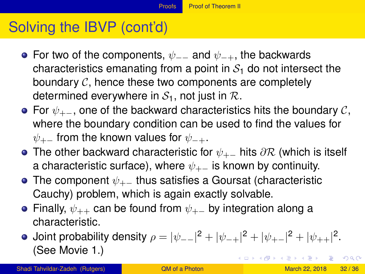# Solving the IBVP (cont'd)

- For two of the components,  $\psi$ <sub>--</sub> and  $\psi$ <sub>-+</sub>, the backwards characteristics emanating from a point in  $S<sub>1</sub>$  do not intersect the boundary  $\mathcal{C}$ , hence these two components are completely determined everywhere in  $S_1$ , not just in  $\mathcal{R}$ .
- For  $\psi_{+-}$ , one of the backward characteristics hits the boundary C, where the boundary condition can be used to find the values for  $\psi_{+-}$  from the known values for  $\psi_{-+}$ .
- The other backward characteristic for  $\psi_{+-}$  hits  $\partial \mathcal{R}$  (which is itself a characteristic surface), where  $\psi_{+-}$  is known by continuity.
- The component  $\psi_{+-}$  thus satisfies a Goursat (characteristic Cauchy) problem, which is again exactly solvable.
- Finally,  $\psi_{++}$  can be found from  $\psi_{+-}$  by integration along a characteristic.
- <span id="page-31-0"></span>Joint probability density  $\rho = |\psi_{--}|^2 + |\psi_{-+}|^2 + |\psi_{+-}|^2 + |\psi_{++}|^2.$ (See Movie 1.) K ロ ▶ K 御 ▶ K 君 ▶ K 君 ▶ ○ 君 ○  $\Omega$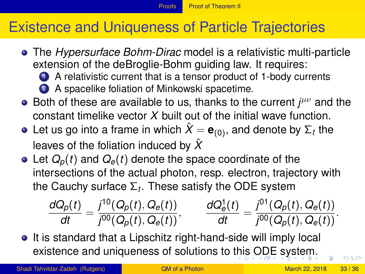#### [Proofs](#page-32-0) [Proof of Theorem II](#page-32-0)

# Existence and Uniqueness of Particle Trajectories

- The *Hypersurface Bohm-Dirac* model is a relativistic multi-particle extension of the deBroglie-Bohm guiding law. It requires:
	- <sup>1</sup> A relativistic current that is a tensor product of 1-body currents 2 A spacelike foliation of Minkowski spacetime.
- Both of these are available to us, thanks to the current *j<sup>μν</sup>* and the constant timelike vector *X* built out of the initial wave function.
- Let us go into a frame in which  $\hat{X} = \mathbf{e}_{(0)},$  and denote by  $\Sigma_t$  the leaves of the foliation induced by *X*ˆ
- $\bullet$  Let  $Q_p(t)$  and  $Q_e(t)$  denote the space coordinate of the intersections of the actual photon, resp. electron, trajectory with the Cauchy surface Σ*<sup>t</sup>* . These satisfy the ODE system

<span id="page-32-0"></span>
$$
\frac{dQ_p(t)}{dt} = \frac{j^{10}(Q_p(t), Q_e(t))}{j^{00}(Q_p(t), Q_e(t))}, \qquad \frac{dQ_e^1(t)}{dt} = \frac{j^{01}(Q_p(t), Q_e(t))}{j^{00}(Q_p(t), Q_e(t))}.
$$

**•** It is standard that a Lipschitz right-hand-side will imply local existence and uniqueness of solutions to [thi](#page-31-0)[s](#page-33-0) [O](#page-30-0)[D](#page-31-0)[E](#page-33-0) [s](#page-30-0)[y](#page-31-0)[st](#page-0-1)[e](#page-30-0)[m.](#page-0-1)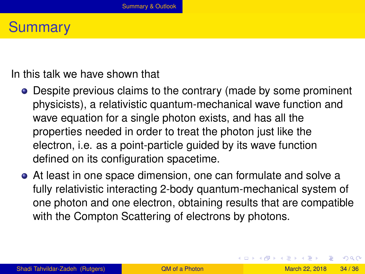#### **Summary**

In this talk we have shown that

- Despite previous claims to the contrary (made by some prominent physicists), a relativistic quantum-mechanical wave function and wave equation for a single photon exists, and has all the properties needed in order to treat the photon just like the electron, i.e. as a point-particle guided by its wave function defined on its configuration spacetime.
- At least in one space dimension, one can formulate and solve a fully relativistic interacting 2-body quantum-mechanical system of one photon and one electron, obtaining results that are compatible with the Compton Scattering of electrons by photons.

<span id="page-33-0"></span> $\Omega$ 

 $(0.125 \times 10^{-14} \text{ m}) \times 10^{-14} \text{ m}$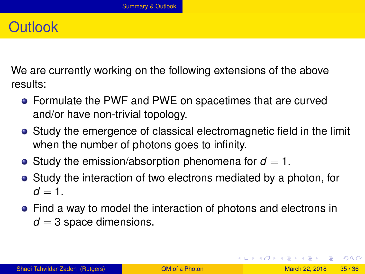### **Outlook**

We are currently working on the following extensions of the above results:

- Formulate the PWF and PWE on spacetimes that are curved and/or have non-trivial topology.
- Study the emergence of classical electromagnetic field in the limit when the number of photons goes to infinity.
- Study the emission/absorption phenomena for  $d = 1$ .
- Study the interaction of two electrons mediated by a photon, for  $d = 1$ .
- Find a way to model the interaction of photons and electrons in  $d = 3$  space dimensions.

<span id="page-34-0"></span>KET KALLA SI YE KE YA GA